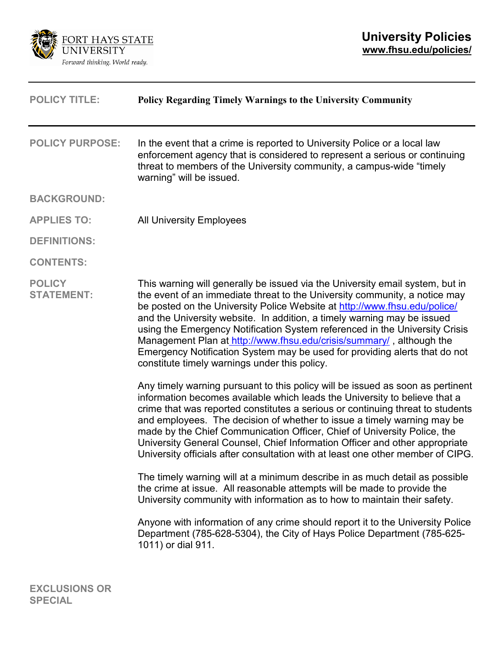

| <b>POLICY TITLE:</b>               | <b>Policy Regarding Timely Warnings to the University Community</b>                                                                                                                                                                                                                                                                                                                                                                                                                                                                                                                                       |
|------------------------------------|-----------------------------------------------------------------------------------------------------------------------------------------------------------------------------------------------------------------------------------------------------------------------------------------------------------------------------------------------------------------------------------------------------------------------------------------------------------------------------------------------------------------------------------------------------------------------------------------------------------|
| <b>POLICY PURPOSE:</b>             | In the event that a crime is reported to University Police or a local law<br>enforcement agency that is considered to represent a serious or continuing<br>threat to members of the University community, a campus-wide "timely<br>warning" will be issued.                                                                                                                                                                                                                                                                                                                                               |
| <b>BACKGROUND:</b>                 |                                                                                                                                                                                                                                                                                                                                                                                                                                                                                                                                                                                                           |
| <b>APPLIES TO:</b>                 | <b>All University Employees</b>                                                                                                                                                                                                                                                                                                                                                                                                                                                                                                                                                                           |
| <b>DEFINITIONS:</b>                |                                                                                                                                                                                                                                                                                                                                                                                                                                                                                                                                                                                                           |
| <b>CONTENTS:</b>                   |                                                                                                                                                                                                                                                                                                                                                                                                                                                                                                                                                                                                           |
| <b>POLICY</b><br><b>STATEMENT:</b> | This warning will generally be issued via the University email system, but in<br>the event of an immediate threat to the University community, a notice may<br>be posted on the University Police Website at http://www.fhsu.edu/police/<br>and the University website. In addition, a timely warning may be issued<br>using the Emergency Notification System referenced in the University Crisis<br>Management Plan at http://www.fhsu.edu/crisis/summary/, although the<br>Emergency Notification System may be used for providing alerts that do not<br>constitute timely warnings under this policy. |
|                                    | Any timely warning pursuant to this policy will be issued as soon as pertinent<br>information becomes available which leads the University to believe that a<br>crime that was reported constitutes a serious or continuing threat to students<br>and employees. The decision of whether to issue a timely warning may be<br>made by the Chief Communication Officer, Chief of University Police, the<br>University General Counsel, Chief Information Officer and other appropriate<br>University officials after consultation with at least one other member of CIPG.                                   |
|                                    | The timely warning will at a minimum describe in as much detail as possible<br>the crime at issue. All reasonable attempts will be made to provide the<br>University community with information as to how to maintain their safety.                                                                                                                                                                                                                                                                                                                                                                       |
|                                    | Anyone with information of any crime should report it to the University Police<br>Department (785-628-5304), the City of Hays Police Department (785-625-<br>1011) or dial 911.                                                                                                                                                                                                                                                                                                                                                                                                                           |
|                                    |                                                                                                                                                                                                                                                                                                                                                                                                                                                                                                                                                                                                           |